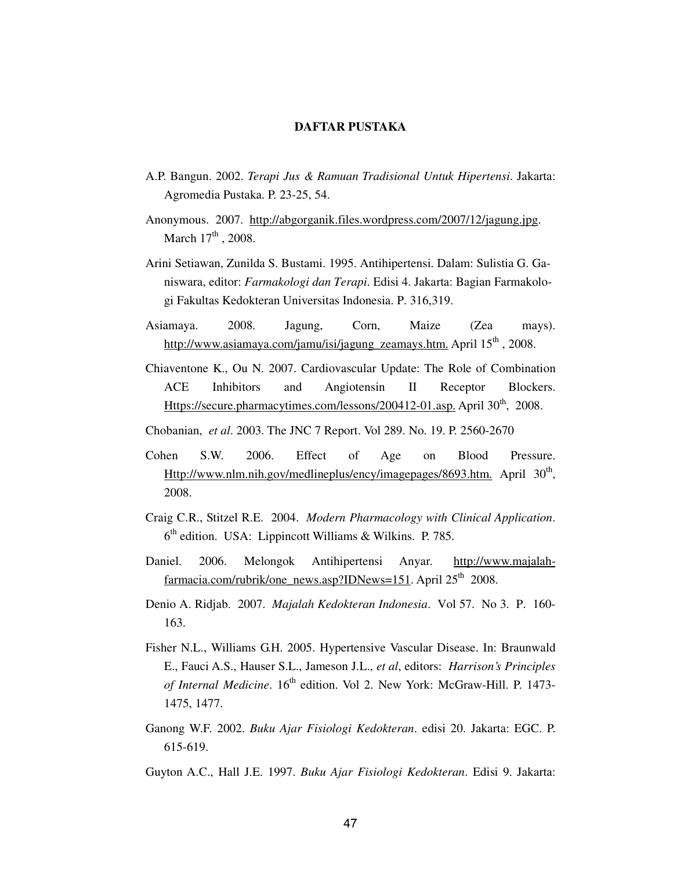## **DAFTAR PUSTAKA**

- A.P. Bangun. 2002. *Terapi Jus & Ramuan Tradisional Untuk Hipertensi*. Jakarta: Agromedia Pustaka. P. 23-25, 54.
- Anonymous. 2007. http://abgorganik.files.wordpress.com/2007/12/jagung.jpg. March  $17<sup>th</sup>$ , 2008.
- Arini Setiawan, Zunilda S. Bustami. 1995. Antihipertensi. Dalam: Sulistia G. Ganiswara, editor: *Farmakologi dan Terapi*. Edisi 4. Jakarta: Bagian Farmakologi Fakultas Kedokteran Universitas Indonesia. P. 316,319.
- Asiamaya. 2008. Jagung, Corn, Maize (Zea mays). http://www.asiamaya.com/jamu/isi/jagung\_zeamays.htm. April 15<sup>th</sup>, 2008.
- Chiaventone K., Ou N. 2007. Cardiovascular Update: The Role of Combination ACE Inhibitors and Angiotensin II Receptor Blockers. Https://secure.pharmacytimes.com/lessons/200412-01.asp. April 30<sup>th</sup>, 2008.
- Chobanian, *et al*. 2003. The JNC 7 Report. Vol 289. No. 19. P. 2560-2670
- Cohen S.W. 2006. Effect of Age on Blood Pressure. Http://www.nlm.nih.gov/medlineplus/ency/imagepages/8693.htm. April 30<sup>th</sup>, 2008.
- Craig C.R., Stitzel R.E. 2004. *Modern Pharmacology with Clinical Application*. 6<sup>th</sup> edition. USA: Lippincott Williams & Wilkins. P. 785.
- Daniel. 2006. Melongok Antihipertensi Anyar*.* http://www.majalahfarmacia.com/rubrik/one\_news.asp?IDNews=151. April  $25<sup>th</sup>$  2008.
- Denio A. Ridjab. 2007. *Majalah Kedokteran Indonesia*. Vol 57. No 3. P. 160- 163.
- Fisher N.L., Williams G.H. 2005. Hypertensive Vascular Disease. In: Braunwald E., Fauci A.S., Hauser S.L., Jameson J.L., *et al*, editors: *Harrison's Principles of Internal Medicine*. 16<sup>th</sup> edition. Vol 2. New York: McGraw-Hill. P. 1473-1475, 1477.
- Ganong W.F. 2002. *Buku Ajar Fisiologi Kedokteran*. edisi 20. Jakarta: EGC. P. 615-619.
- Guyton A.C., Hall J.E. 1997. *Buku Ajar Fisiologi Kedokteran*. Edisi 9. Jakarta: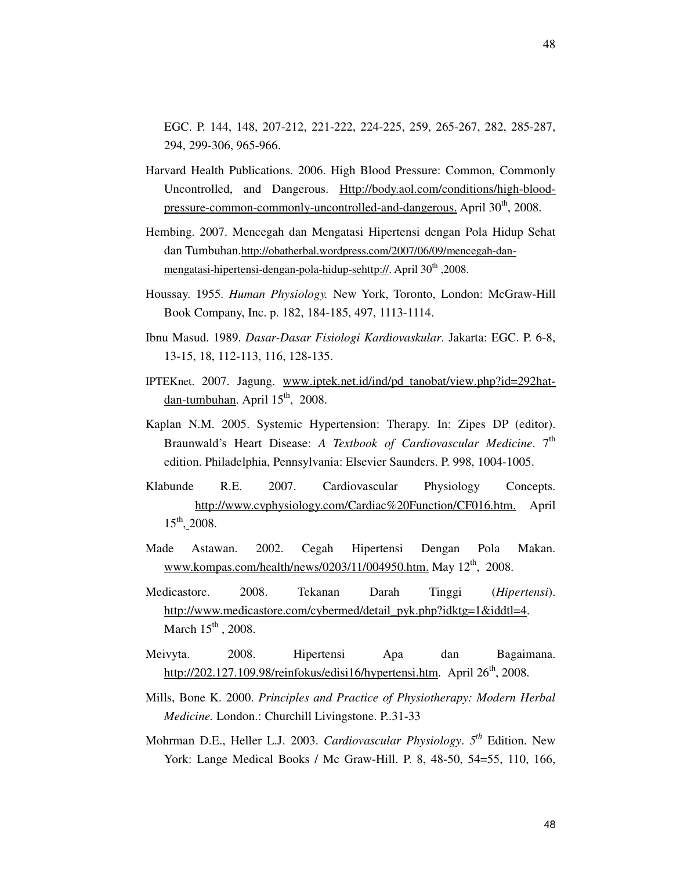EGC. P. 144, 148, 207-212, 221-222, 224-225, 259, 265-267, 282, 285-287, 294, 299-306, 965-966.

- Harvard Health Publications. 2006. High Blood Pressure: Common, Commonly Uncontrolled, and Dangerous. Http://body.aol.com/conditions/high-bloodpressure-common-commonly-uncontrolled-and-dangerous. April  $30<sup>th</sup>$ , 2008.
- Hembing. 2007. Mencegah dan Mengatasi Hipertensi dengan Pola Hidup Sehat dan Tumbuhan.http://obatherbal.wordpress.com/2007/06/09/mencegah-danmengatasi-hipertensi-dengan-pola-hidup-sehttp://. April 30<sup>th</sup>, 2008.
- Houssay. 1955. *Human Physiology.* New York, Toronto, London: McGraw-Hill Book Company, Inc. p. 182, 184-185, 497, 1113-1114.
- Ibnu Masud. 1989. *Dasar-Dasar Fisiologi Kardiovaskular*. Jakarta: EGC. P. 6-8, 13-15, 18, 112-113, 116, 128-135.
- IPTEKnet. 2007. Jagung. www.iptek.net.id/ind/pd\_tanobat/view.php?id=292hatdan-tumbuhan. April  $15<sup>th</sup>$ , 2008.
- Kaplan N.M. 2005. Systemic Hypertension: Therapy. In: Zipes DP (editor). Braunwald's Heart Disease: *A Textbook of Cardiovascular Medicine*. 7<sup>th</sup> edition. Philadelphia, Pennsylvania: Elsevier Saunders. P. 998, 1004-1005.
- Klabunde R.E. 2007. Cardiovascular Physiology Concepts. http://www.cvphysiology.com/Cardiac%20Function/CF016.htm. April  $15^{th}$ , 2008.
- Made Astawan. 2002. Cegah Hipertensi Dengan Pola Makan. www.kompas.com/health/news/0203/11/004950.htm. May 12<sup>th</sup>, 2008.
- Medicastore. 2008. Tekanan Darah Tinggi (*Hipertensi*). http://www.medicastore.com/cybermed/detail\_pyk.php?idktg=1&iddtl=4. March  $15<sup>th</sup>$ , 2008.
- Meivyta. 2008. Hipertensi Apa dan Bagaimana. http://202.127.109.98/reinfokus/edisi16/hypertensi.htm. April  $26<sup>th</sup>$ , 2008.
- Mills, Bone K. 2000. *Principles and Practice of Physiotherapy: Modern Herbal Medicine.* London.: Churchill Livingstone. P..31-33
- Mohrman D.E., Heller L.J. 2003. *Cardiovascular Physiology*. *5 th* Edition. New York: Lange Medical Books / Mc Graw-Hill. P. 8, 48-50, 54=55, 110, 166,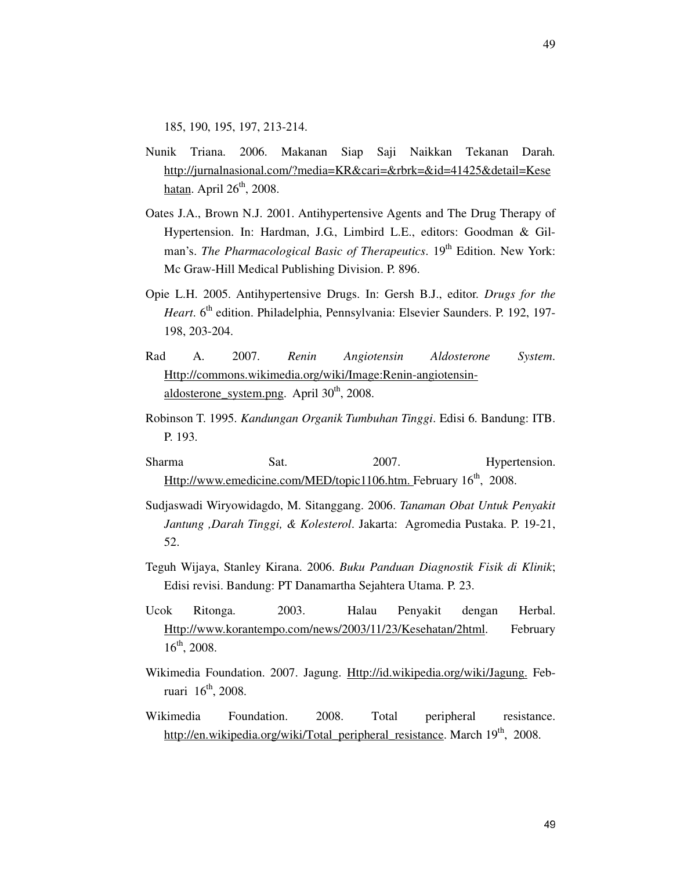185, 190, 195, 197, 213-214.

- Nunik Triana. 2006. Makanan Siap Saji Naikkan Tekanan Darah*.*  http://jurnalnasional.com/?media=KR&cari=&rbrk=&id=41425&detail=Kese hatan. April  $26<sup>th</sup>$ , 2008.
- Oates J.A., Brown N.J. 2001. Antihypertensive Agents and The Drug Therapy of Hypertension. In: Hardman, J.G., Limbird L.E., editors: Goodman & Gilman's. *The Pharmacological Basic of Therapeutics*. 19<sup>th</sup> Edition. New York: Mc Graw-Hill Medical Publishing Division. P. 896.
- Opie L.H. 2005. Antihypertensive Drugs. In: Gersh B.J., editor. *Drugs for the Heart*. 6<sup>th</sup> edition. Philadelphia, Pennsylvania: Elsevier Saunders. P. 192, 197-198, 203-204.
- Rad A. 2007. *Renin Angiotensin Aldosterone System*. Http://commons.wikimedia.org/wiki/Image:Renin-angiotensinaldosterone system.png. April  $30<sup>th</sup>$ , 2008.
- Robinson T. 1995. *Kandungan Organik Tumbuhan Tinggi*. Edisi 6. Bandung: ITB. P. 193.
- Sharma Sat. 2007. Hypertension. Http://www.emedicine.com/MED/topic1106.htm. February 16<sup>th</sup>, 2008.
- Sudjaswadi Wiryowidagdo, M. Sitanggang. 2006. *Tanaman Obat Untuk Penyakit Jantung ,Darah Tinggi, & Kolesterol*. Jakarta: Agromedia Pustaka. P. 19-21, 52.
- Teguh Wijaya, Stanley Kirana. 2006. *Buku Panduan Diagnostik Fisik di Klinik*; Edisi revisi. Bandung: PT Danamartha Sejahtera Utama. P. 23.
- Ucok Ritonga. 2003. Halau Penyakit dengan Herbal. Http://www.korantempo.com/news/2003/11/23/Kesehatan/2html. February 16th, 2008.
- Wikimedia Foundation. 2007. Jagung. Http://id.wikipedia.org/wiki/Jagung. Februari  $16^{th}$ , 2008.
- Wikimedia Foundation. 2008. Total peripheral resistance. http://en.wikipedia.org/wiki/Total\_peripheral\_resistance. March 19<sup>th</sup>, 2008.